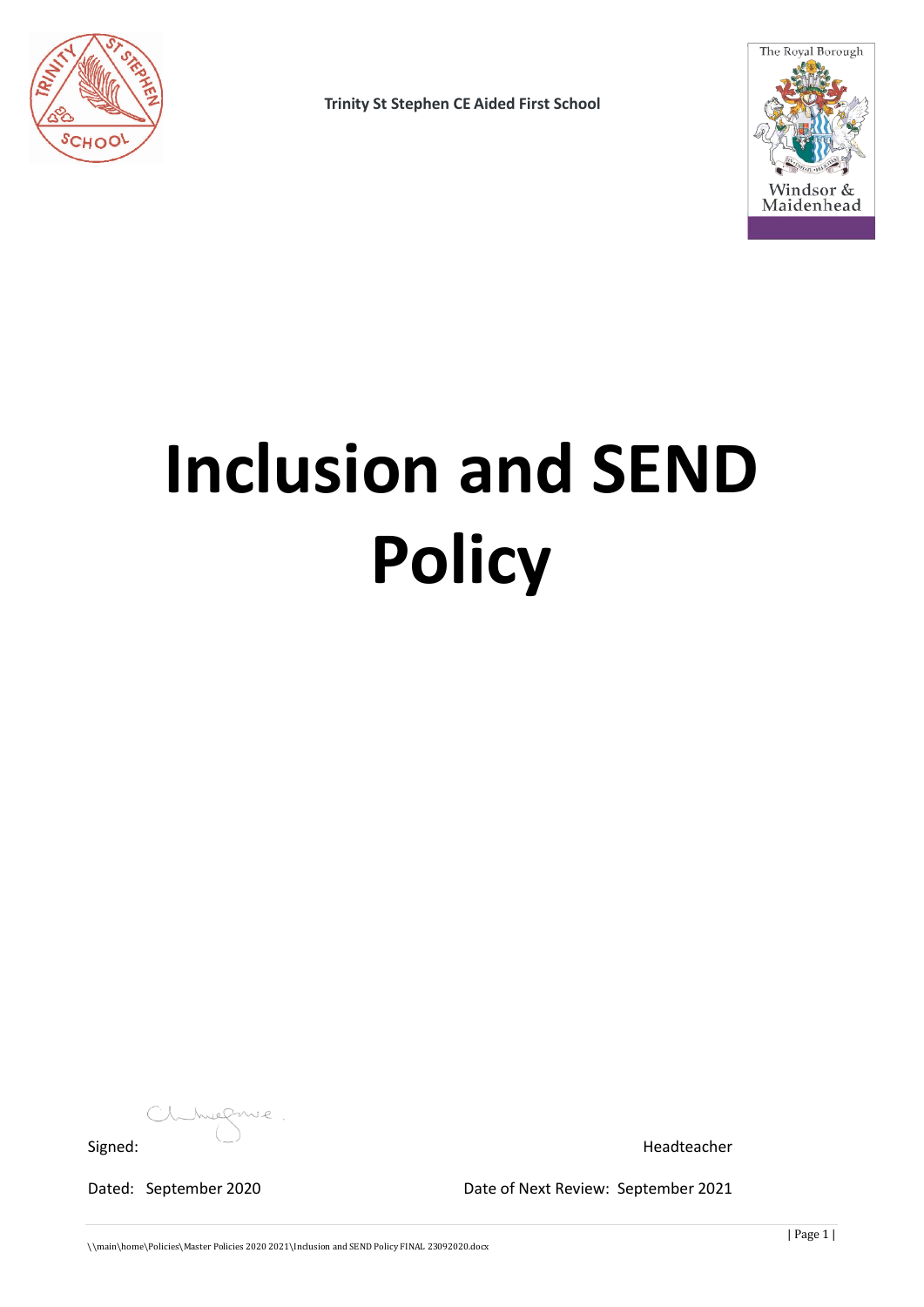

**Trinity St Stephen CE Aided First School**



# **Inclusion and SEND Policy**

huefme Signed: Headteacher

Dated: September 2020 Date of Next Review: September 2021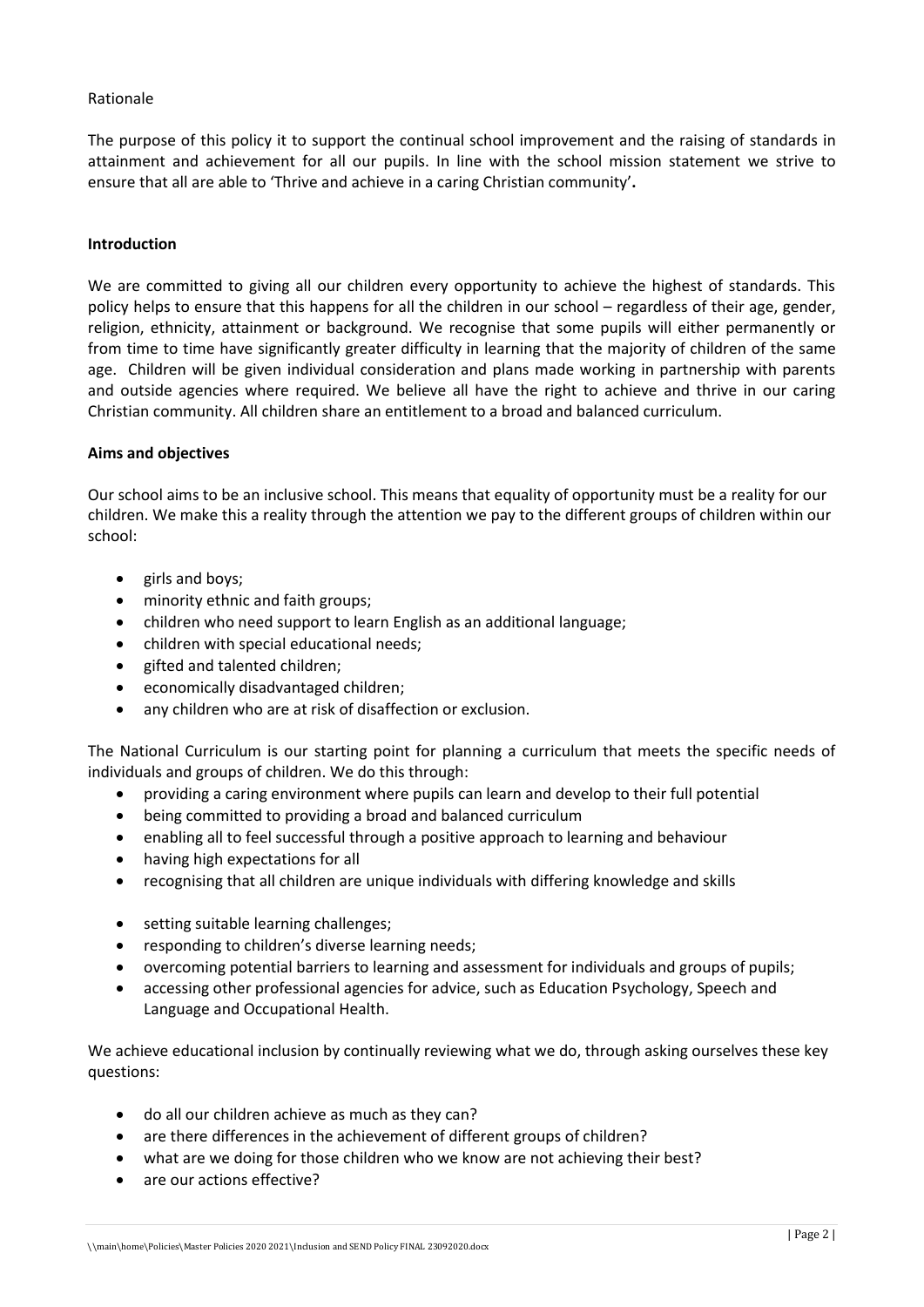## Rationale

The purpose of this policy it to support the continual school improvement and the raising of standards in attainment and achievement for all our pupils. In line with the school mission statement we strive to ensure that all are able to 'Thrive and achieve in a caring Christian community'**.**

#### **Introduction**

We are committed to giving all our children every opportunity to achieve the highest of standards. This policy helps to ensure that this happens for all the children in our school – regardless of their age, gender, religion, ethnicity, attainment or background. We recognise that some pupils will either permanently or from time to time have significantly greater difficulty in learning that the majority of children of the same age. Children will be given individual consideration and plans made working in partnership with parents and outside agencies where required. We believe all have the right to achieve and thrive in our caring Christian community. All children share an entitlement to a broad and balanced curriculum.

#### **Aims and objectives**

Our school aims to be an inclusive school. This means that equality of opportunity must be a reality for our children. We make this a reality through the attention we pay to the different groups of children within our school:

- girls and boys;
- minority ethnic and faith groups;
- children who need support to learn English as an additional language;
- children with special educational needs;
- gifted and talented children;
- economically disadvantaged children;
- any children who are at risk of disaffection or exclusion.

The National Curriculum is our starting point for planning a curriculum that meets the specific needs of individuals and groups of children. We do this through:

- providing a caring environment where pupils can learn and develop to their full potential
- being committed to providing a broad and balanced curriculum
- enabling all to feel successful through a positive approach to learning and behaviour
- having high expectations for all
- recognising that all children are unique individuals with differing knowledge and skills
- setting suitable learning challenges;
- responding to children's diverse learning needs;
- overcoming potential barriers to learning and assessment for individuals and groups of pupils;
- accessing other professional agencies for advice, such as Education Psychology, Speech and Language and Occupational Health.

We achieve educational inclusion by continually reviewing what we do, through asking ourselves these key questions:

- do all our children achieve as much as they can?
- are there differences in the achievement of different groups of children?
- what are we doing for those children who we know are not achieving their best?
- are our actions effective?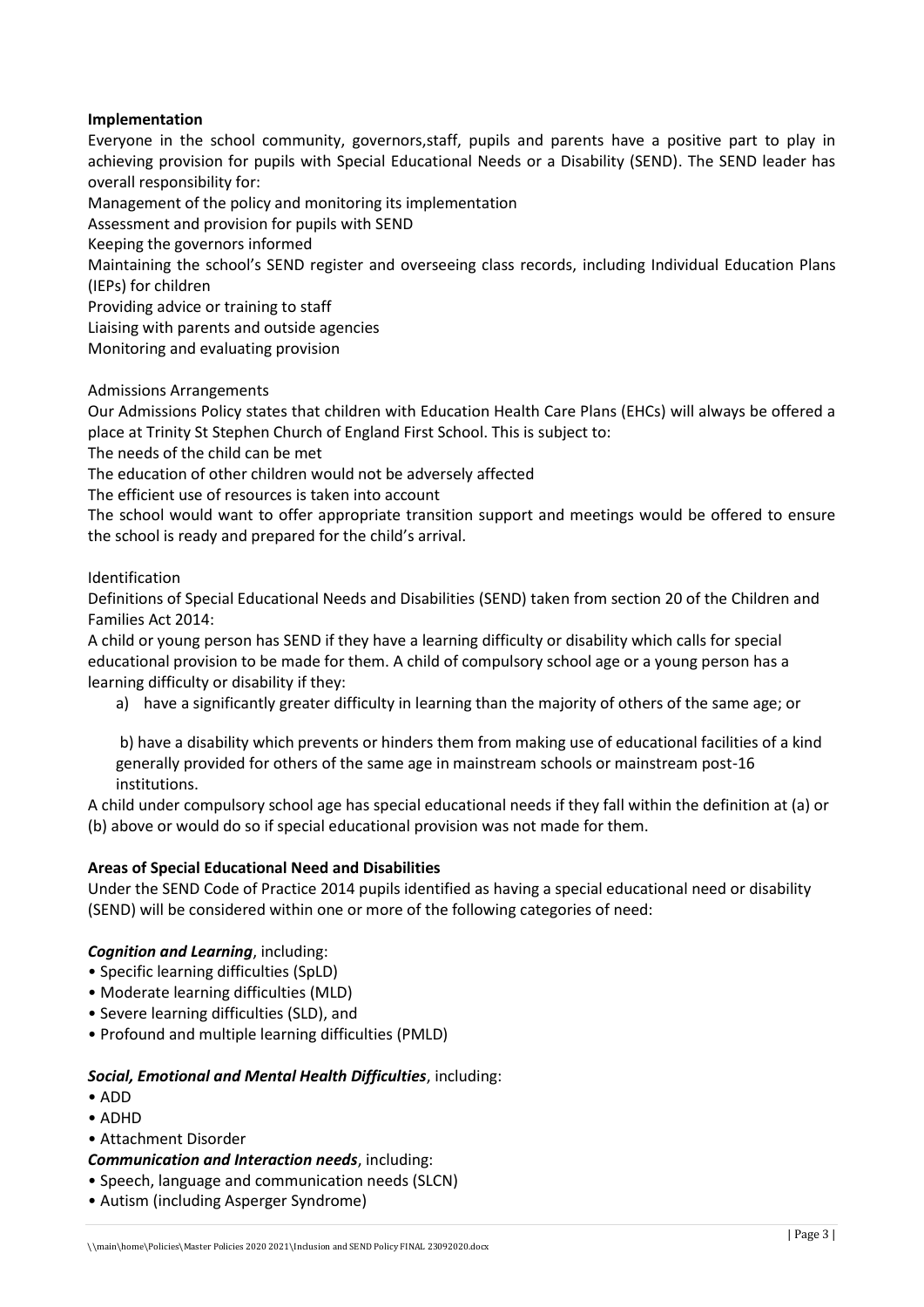## **Implementation**

Everyone in the school community, governors,staff, pupils and parents have a positive part to play in achieving provision for pupils with Special Educational Needs or a Disability (SEND). The SEND leader has overall responsibility for:

Management of the policy and monitoring its implementation

Assessment and provision for pupils with SEND

Keeping the governors informed

Maintaining the school's SEND register and overseeing class records, including Individual Education Plans (IEPs) for children

Providing advice or training to staff

Liaising with parents and outside agencies

Monitoring and evaluating provision

Admissions Arrangements

Our Admissions Policy states that children with Education Health Care Plans (EHCs) will always be offered a place at Trinity St Stephen Church of England First School. This is subject to:

The needs of the child can be met

The education of other children would not be adversely affected

The efficient use of resources is taken into account

The school would want to offer appropriate transition support and meetings would be offered to ensure the school is ready and prepared for the child's arrival.

Identification

Definitions of Special Educational Needs and Disabilities (SEND) taken from section 20 of the Children and Families Act 2014:

A child or young person has SEND if they have a learning difficulty or disability which calls for special educational provision to be made for them. A child of compulsory school age or a young person has a learning difficulty or disability if they:

a) have a significantly greater difficulty in learning than the majority of others of the same age; or

b) have a disability which prevents or hinders them from making use of educational facilities of a kind generally provided for others of the same age in mainstream schools or mainstream post-16 institutions.

A child under compulsory school age has special educational needs if they fall within the definition at (a) or (b) above or would do so if special educational provision was not made for them.

## **Areas of Special Educational Need and Disabilities**

Under the SEND Code of Practice 2014 pupils identified as having a special educational need or disability (SEND) will be considered within one or more of the following categories of need:

## *Cognition and Learning*, including:

- Specific learning difficulties (SpLD)
- Moderate learning difficulties (MLD)
- Severe learning difficulties (SLD), and
- Profound and multiple learning difficulties (PMLD)

## *Social, Emotional and Mental Health Difficulties*, including:

- ADD
- ADHD
- Attachment Disorder

*Communication and Interaction needs*, including:

- Speech, language and communication needs (SLCN)
- Autism (including Asperger Syndrome)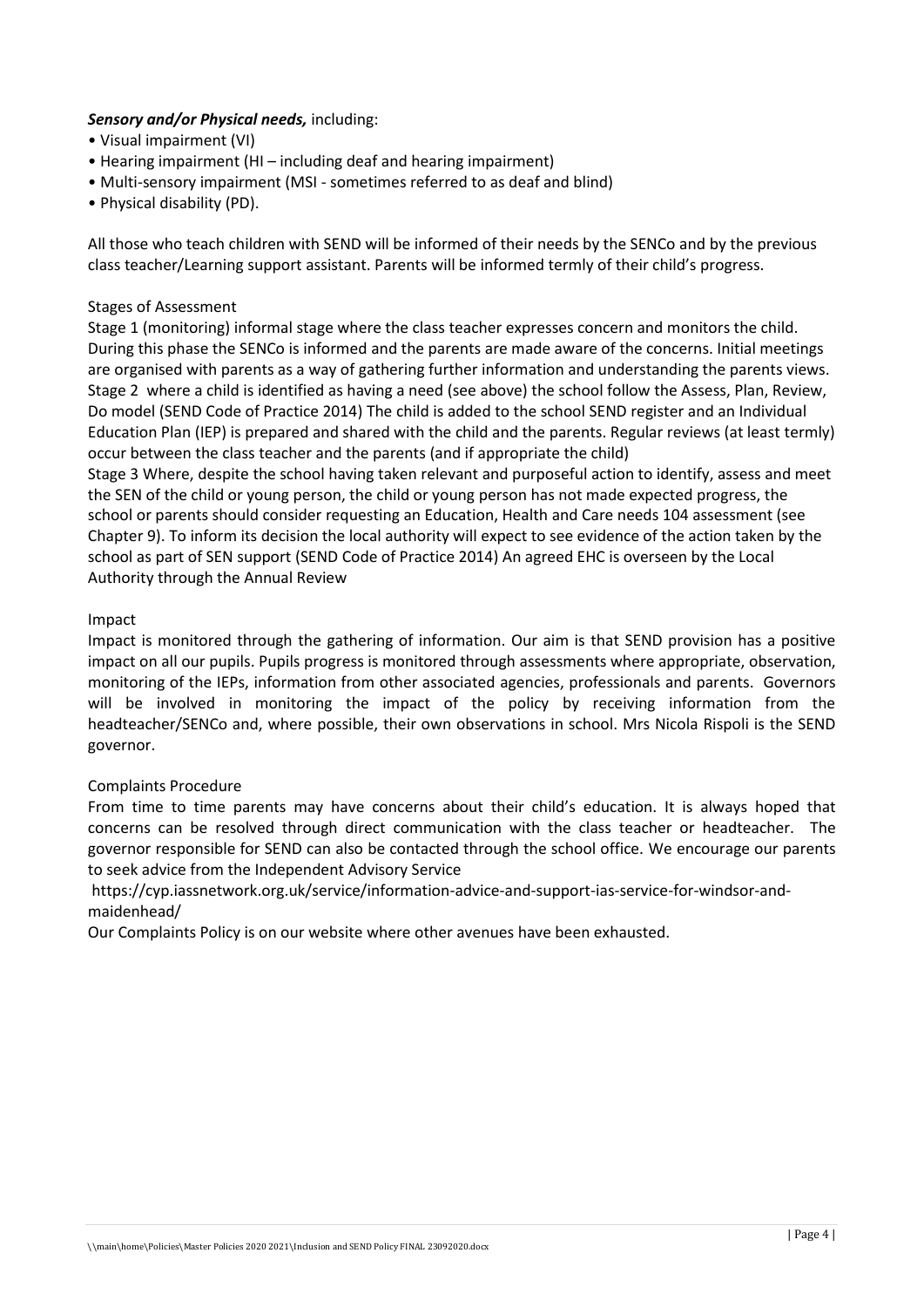# *Sensory and/or Physical needs,* including:

- Visual impairment (VI)
- Hearing impairment (HI including deaf and hearing impairment)
- Multi-sensory impairment (MSI sometimes referred to as deaf and blind)
- Physical disability (PD).

All those who teach children with SEND will be informed of their needs by the SENCo and by the previous class teacher/Learning support assistant. Parents will be informed termly of their child's progress.

## Stages of Assessment

Stage 1 (monitoring) informal stage where the class teacher expresses concern and monitors the child. During this phase the SENCo is informed and the parents are made aware of the concerns. Initial meetings are organised with parents as a way of gathering further information and understanding the parents views. Stage 2 where a child is identified as having a need (see above) the school follow the Assess, Plan, Review, Do model (SEND Code of Practice 2014) The child is added to the school SEND register and an Individual Education Plan (IEP) is prepared and shared with the child and the parents. Regular reviews (at least termly) occur between the class teacher and the parents (and if appropriate the child)

Stage 3 Where, despite the school having taken relevant and purposeful action to identify, assess and meet the SEN of the child or young person, the child or young person has not made expected progress, the school or parents should consider requesting an Education, Health and Care needs 104 assessment (see Chapter 9). To inform its decision the local authority will expect to see evidence of the action taken by the school as part of SEN support (SEND Code of Practice 2014) An agreed EHC is overseen by the Local Authority through the Annual Review

## Impact

Impact is monitored through the gathering of information. Our aim is that SEND provision has a positive impact on all our pupils. Pupils progress is monitored through assessments where appropriate, observation, monitoring of the IEPs, information from other associated agencies, professionals and parents. Governors will be involved in monitoring the impact of the policy by receiving information from the headteacher/SENCo and, where possible, their own observations in school. Mrs Nicola Rispoli is the SEND governor.

## Complaints Procedure

From time to time parents may have concerns about their child's education. It is always hoped that concerns can be resolved through direct communication with the class teacher or headteacher. The governor responsible for SEND can also be contacted through the school office. We encourage our parents to seek advice from the Independent Advisory Service

https://cyp.iassnetwork.org.uk/service/information-advice-and-support-ias-service-for-windsor-andmaidenhead/

Our Complaints Policy is on our website where other avenues have been exhausted.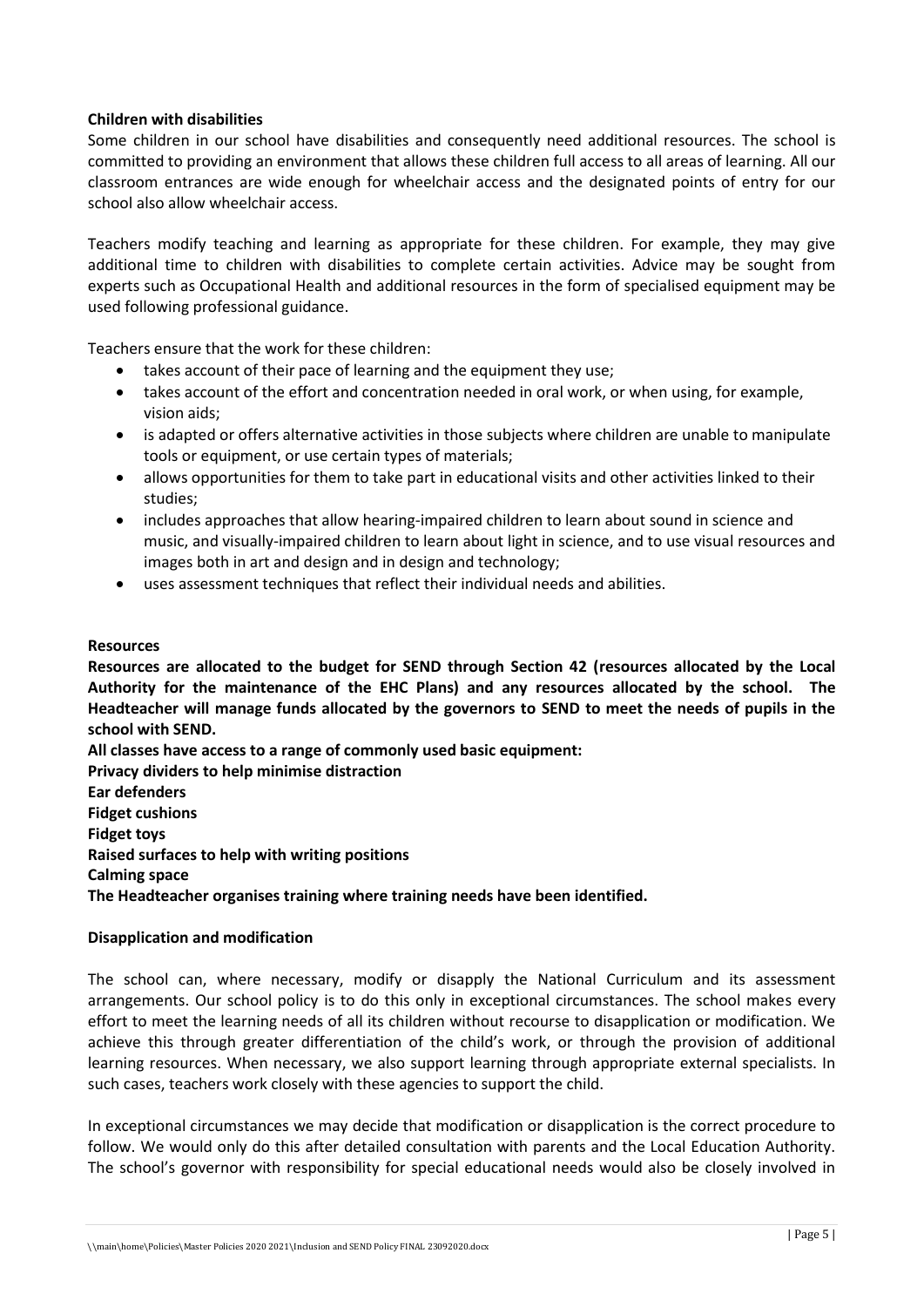## **Children with disabilities**

Some children in our school have disabilities and consequently need additional resources. The school is committed to providing an environment that allows these children full access to all areas of learning. All our classroom entrances are wide enough for wheelchair access and the designated points of entry for our school also allow wheelchair access.

Teachers modify teaching and learning as appropriate for these children. For example, they may give additional time to children with disabilities to complete certain activities. Advice may be sought from experts such as Occupational Health and additional resources in the form of specialised equipment may be used following professional guidance.

Teachers ensure that the work for these children:

- takes account of their pace of learning and the equipment they use;
- takes account of the effort and concentration needed in oral work, or when using, for example, vision aids;
- is adapted or offers alternative activities in those subjects where children are unable to manipulate tools or equipment, or use certain types of materials;
- allows opportunities for them to take part in educational visits and other activities linked to their studies;
- includes approaches that allow hearing-impaired children to learn about sound in science and music, and visually-impaired children to learn about light in science, and to use visual resources and images both in art and design and in design and technology;
- uses assessment techniques that reflect their individual needs and abilities.

## **Resources**

**Resources are allocated to the budget for SEND through Section 42 (resources allocated by the Local Authority for the maintenance of the EHC Plans) and any resources allocated by the school. The Headteacher will manage funds allocated by the governors to SEND to meet the needs of pupils in the school with SEND.**

**All classes have access to a range of commonly used basic equipment:**

**Privacy dividers to help minimise distraction Ear defenders Fidget cushions Fidget toys Raised surfaces to help with writing positions Calming space The Headteacher organises training where training needs have been identified.**

## **Disapplication and modification**

The school can, where necessary, modify or disapply the National Curriculum and its assessment arrangements. Our school policy is to do this only in exceptional circumstances. The school makes every effort to meet the learning needs of all its children without recourse to disapplication or modification. We achieve this through greater differentiation of the child's work, or through the provision of additional learning resources. When necessary, we also support learning through appropriate external specialists. In such cases, teachers work closely with these agencies to support the child.

In exceptional circumstances we may decide that modification or disapplication is the correct procedure to follow. We would only do this after detailed consultation with parents and the Local Education Authority. The school's governor with responsibility for special educational needs would also be closely involved in